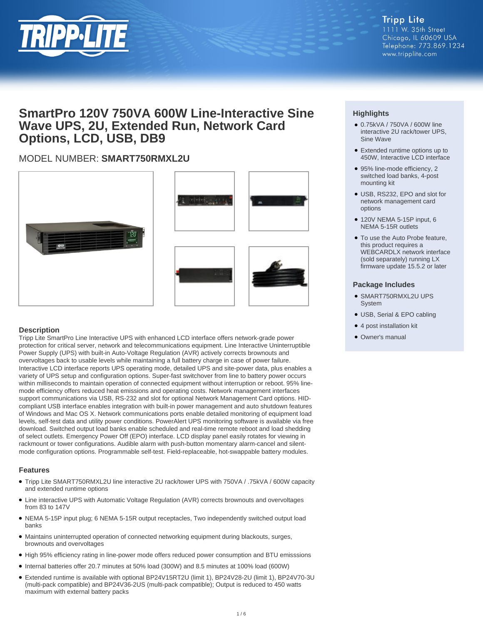

## **SmartPro 120V 750VA 600W Line-Interactive Sine Wave UPS, 2U, Extended Run, Network Card Options, LCD, USB, DB9**

### MODEL NUMBER: **SMART750RMXL2U**









#### **Description**

Tripp Lite SmartPro Line Interactive UPS with enhanced LCD interface offers network-grade power protection for critical server, network and telecommunications equipment. Line Interactive Uninterruptible Power Supply (UPS) with built-in Auto-Voltage Regulation (AVR) actively corrects brownouts and overvoltages back to usable levels while maintaining a full battery charge in case of power failure. Interactive LCD interface reports UPS operating mode, detailed UPS and site-power data, plus enables a variety of UPS setup and configuration options. Super-fast switchover from line to battery power occurs within milliseconds to maintain operation of connected equipment without interruption or reboot. 95% linemode efficiency offers reduced heat emissions and operating costs. Network management interfaces support communications via USB, RS-232 and slot for optional Network Management Card options. HIDcompliant USB interface enables integration with built-in power management and auto shutdown features of Windows and Mac OS X. Network communications ports enable detailed monitoring of equipment load levels, self-test data and utility power conditions. PowerAlert UPS monitoring software is available via free download. Switched output load banks enable scheduled and real-time remote reboot and load shedding of select outlets. Emergency Power Off (EPO) interface. LCD display panel easily rotates for viewing in rackmount or tower configurations. Audible alarm with push-button momentary alarm-cancel and silentmode configuration options. Programmable self-test. Field-replaceable, hot-swappable battery modules.

#### **Features**

- Tripp Lite SMART750RMXL2U line interactive 2U rack/tower UPS with 750VA / .75kVA / 600W capacity and extended runtime options
- Line interactive UPS with Automatic Voltage Regulation (AVR) corrects brownouts and overvoltages from 83 to 147V
- NEMA 5-15P input plug; 6 NEMA 5-15R output receptacles, Two independently switched output load banks
- Maintains uninterrupted operation of connected networking equipment during blackouts, surges, brownouts and overvoltages
- High 95% efficiency rating in line-power mode offers reduced power consumption and BTU emisssions
- Internal batteries offer 20.7 minutes at 50% load (300W) and 8.5 minutes at 100% load (600W)
- Extended runtime is available with optional BP24V15RT2U (limit 1), BP24V28-2U (limit 1), BP24V70-3U (multi-pack compatible) and BP24V36-2US (multi-pack compatible); Output is reduced to 450 watts maximum with external battery packs

#### **Highlights**

- 0.75kVA / 750VA / 600W line interactive 2U rack/tower UPS, Sine Wave
- Extended runtime options up to 450W, Interactive LCD interface
- 95% line-mode efficiency, 2 switched load banks, 4-post mounting kit
- USB, RS232, EPO and slot for network management card options
- 120V NEMA 5-15P input, 6 NEMA 5-15R outlets
- To use the Auto Probe feature, this product requires a WEBCARDLX network interface (sold separately) running LX firmware update 15.5.2 or later

#### **Package Includes**

- SMART750RMXL2U UPS System
- USB, Serial & EPO cabling
- 4 post installation kit
- Owner's manual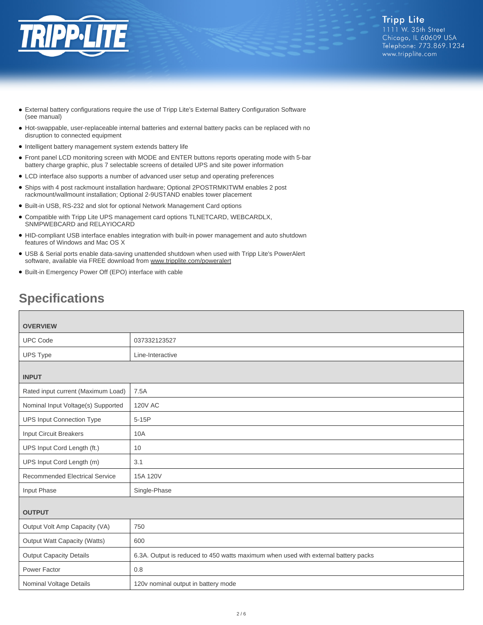

- External battery configurations require the use of Tripp Lite's External Battery Configuration Software (see manual)
- Hot-swappable, user-replaceable internal batteries and external battery packs can be replaced with no disruption to connected equipment
- Intelligent battery management system extends battery life
- Front panel LCD monitoring screen with MODE and ENTER buttons reports operating mode with 5-bar battery charge graphic, plus 7 selectable screens of detailed UPS and site power information
- LCD interface also supports a number of advanced user setup and operating preferences
- Ships with 4 post rackmount installation hardware; Optional 2POSTRMKITWM enables 2 post rackmount/wallmount installation; Optional 2-9USTAND enables tower placement
- Built-in USB, RS-232 and slot for optional Network Management Card options
- Compatible with Tripp Lite UPS management card options TLNETCARD, WEBCARDLX, SNMPWEBCARD and RELAYIOCARD
- HID-compliant USB interface enables integration with built-in power management and auto shutdown features of Windows and Mac OS X
- USB & Serial ports enable data-saving unattended shutdown when used with Tripp Lite's PowerAlert software, available via FREE download from [www.tripplite.com/poweralert](https://www.tripplite.com/poweralert)
- Built-in Emergency Power Off (EPO) interface with cable

# **Specifications**

| <b>OVERVIEW</b>                       |                                                                                    |  |
|---------------------------------------|------------------------------------------------------------------------------------|--|
| <b>UPC Code</b>                       | 037332123527                                                                       |  |
|                                       |                                                                                    |  |
| UPS Type                              | Line-Interactive                                                                   |  |
| <b>INPUT</b>                          |                                                                                    |  |
| Rated input current (Maximum Load)    | 7.5A                                                                               |  |
| Nominal Input Voltage(s) Supported    | <b>120V AC</b>                                                                     |  |
| <b>UPS Input Connection Type</b>      | $5-15P$                                                                            |  |
| <b>Input Circuit Breakers</b>         | 10A                                                                                |  |
| UPS Input Cord Length (ft.)           | 10                                                                                 |  |
| UPS Input Cord Length (m)             | 3.1                                                                                |  |
| <b>Recommended Electrical Service</b> | 15A 120V                                                                           |  |
| Input Phase                           | Single-Phase                                                                       |  |
| <b>OUTPUT</b>                         |                                                                                    |  |
| Output Volt Amp Capacity (VA)         | 750                                                                                |  |
| Output Watt Capacity (Watts)          | 600                                                                                |  |
| <b>Output Capacity Details</b>        | 6.3A. Output is reduced to 450 watts maximum when used with external battery packs |  |
| Power Factor                          | 0.8                                                                                |  |
| Nominal Voltage Details               | 120v nominal output in battery mode                                                |  |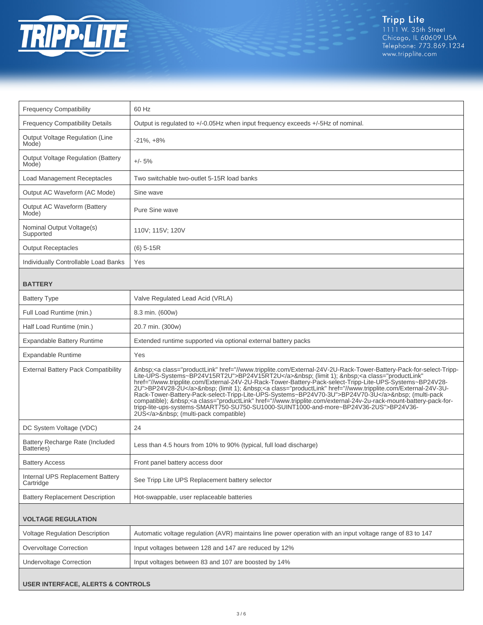

| <b>Frequency Compatibility</b>                     | 60 Hz                                                                                                                                                                                                                                                                                                                                                                                                                                                                                                                                                                                                                                                                                                                                                                               |
|----------------------------------------------------|-------------------------------------------------------------------------------------------------------------------------------------------------------------------------------------------------------------------------------------------------------------------------------------------------------------------------------------------------------------------------------------------------------------------------------------------------------------------------------------------------------------------------------------------------------------------------------------------------------------------------------------------------------------------------------------------------------------------------------------------------------------------------------------|
| <b>Frequency Compatibility Details</b>             | Output is regulated to +/-0.05Hz when input frequency exceeds +/-5Hz of nominal.                                                                                                                                                                                                                                                                                                                                                                                                                                                                                                                                                                                                                                                                                                    |
| Output Voltage Regulation (Line<br>Mode)           | $-21\%$ , $+8\%$                                                                                                                                                                                                                                                                                                                                                                                                                                                                                                                                                                                                                                                                                                                                                                    |
| <b>Output Voltage Regulation (Battery</b><br>Mode) | $+/- 5%$                                                                                                                                                                                                                                                                                                                                                                                                                                                                                                                                                                                                                                                                                                                                                                            |
| <b>Load Management Receptacles</b>                 | Two switchable two-outlet 5-15R load banks                                                                                                                                                                                                                                                                                                                                                                                                                                                                                                                                                                                                                                                                                                                                          |
| Output AC Waveform (AC Mode)                       | Sine wave                                                                                                                                                                                                                                                                                                                                                                                                                                                                                                                                                                                                                                                                                                                                                                           |
| <b>Output AC Waveform (Battery</b><br>Mode)        | Pure Sine wave                                                                                                                                                                                                                                                                                                                                                                                                                                                                                                                                                                                                                                                                                                                                                                      |
| Nominal Output Voltage(s)<br>Supported             | 110V; 115V; 120V                                                                                                                                                                                                                                                                                                                                                                                                                                                                                                                                                                                                                                                                                                                                                                    |
| <b>Output Receptacles</b>                          | $(6)$ 5-15R                                                                                                                                                                                                                                                                                                                                                                                                                                                                                                                                                                                                                                                                                                                                                                         |
| Individually Controllable Load Banks               | Yes                                                                                                                                                                                                                                                                                                                                                                                                                                                                                                                                                                                                                                                                                                                                                                                 |
| <b>BATTERY</b>                                     |                                                                                                                                                                                                                                                                                                                                                                                                                                                                                                                                                                                                                                                                                                                                                                                     |
| <b>Battery Type</b>                                | Valve Regulated Lead Acid (VRLA)                                                                                                                                                                                                                                                                                                                                                                                                                                                                                                                                                                                                                                                                                                                                                    |
| Full Load Runtime (min.)                           | 8.3 min. (600w)                                                                                                                                                                                                                                                                                                                                                                                                                                                                                                                                                                                                                                                                                                                                                                     |
| Half Load Runtime (min.)                           | 20.7 min. (300w)                                                                                                                                                                                                                                                                                                                                                                                                                                                                                                                                                                                                                                                                                                                                                                    |
| <b>Expandable Battery Runtime</b>                  | Extended runtime supported via optional external battery packs                                                                                                                                                                                                                                                                                                                                                                                                                                                                                                                                                                                                                                                                                                                      |
| <b>Expandable Runtime</b>                          | Yes                                                                                                                                                                                                                                                                                                                                                                                                                                                                                                                                                                                                                                                                                                                                                                                 |
| <b>External Battery Pack Compatibility</b>         | <a class="productLink" href="//www.tripplite.com/External-24V-2U-Rack-Tower-Battery-Pack-for-select-Tripp-&lt;br&gt;Lite-UPS-Systems~BP24V15RT2U">BP24V15RT2U</a> (limit 1); <a <br="" class="productLink">href="//www.tripplite.com/External-24V-2U-Rack-Tower-Battery-Pack-select-Tripp-Lite-UPS-Systems~BP24V28-<br/>2U"&gt;BP24V28-2U</a> (limit 1); <a class="productLink" href="//www.tripplite.com/External-24V-3U-&lt;br&gt;Rack-Tower-Battery-Pack-select-Tripp-Lite-UPS-Systems-BP24V70-3U">BP24V70-3U</a> (multi-pack<br>compatible); <a class="productLink" href="//www.tripplite.com/external-24v-2u-rack-mount-battery-pack-for-&lt;br&gt;tripp-lite-ups-systems-SMART750-SU750-SU1000-SUINT1000-and-more~BP24V36-2US">BP24V36-<br/>2US</a> : (multi-pack compatible) |
| DC System Voltage (VDC)                            | 24                                                                                                                                                                                                                                                                                                                                                                                                                                                                                                                                                                                                                                                                                                                                                                                  |
| Battery Recharge Rate (Included<br>Batteries)      | Less than 4.5 hours from 10% to 90% (typical, full load discharge)                                                                                                                                                                                                                                                                                                                                                                                                                                                                                                                                                                                                                                                                                                                  |
| <b>Battery Access</b>                              | Front panel battery access door                                                                                                                                                                                                                                                                                                                                                                                                                                                                                                                                                                                                                                                                                                                                                     |
| Internal UPS Replacement Battery<br>Cartridge      | See Tripp Lite UPS Replacement battery selector                                                                                                                                                                                                                                                                                                                                                                                                                                                                                                                                                                                                                                                                                                                                     |
| <b>Battery Replacement Description</b>             | Hot-swappable, user replaceable batteries                                                                                                                                                                                                                                                                                                                                                                                                                                                                                                                                                                                                                                                                                                                                           |
| <b>VOLTAGE REGULATION</b>                          |                                                                                                                                                                                                                                                                                                                                                                                                                                                                                                                                                                                                                                                                                                                                                                                     |
| Voltage Regulation Description                     | Automatic voltage regulation (AVR) maintains line power operation with an input voltage range of 83 to 147                                                                                                                                                                                                                                                                                                                                                                                                                                                                                                                                                                                                                                                                          |
| Overvoltage Correction                             | Input voltages between 128 and 147 are reduced by 12%                                                                                                                                                                                                                                                                                                                                                                                                                                                                                                                                                                                                                                                                                                                               |
| <b>Undervoltage Correction</b>                     | Input voltages between 83 and 107 are boosted by 14%                                                                                                                                                                                                                                                                                                                                                                                                                                                                                                                                                                                                                                                                                                                                |

#### **USER INTERFACE, ALERTS & CONTROLS**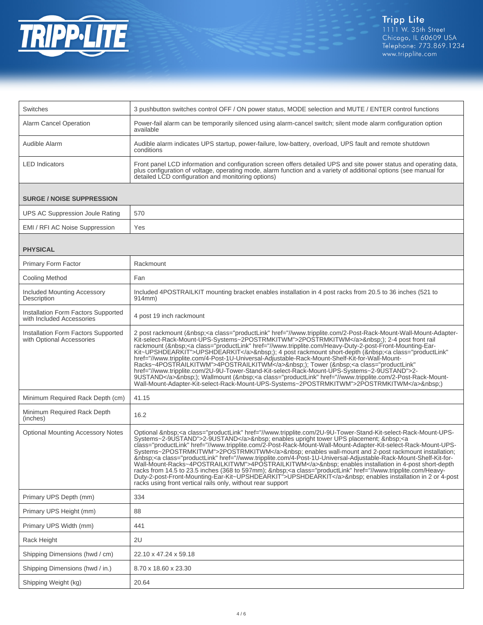

| Switches                                                         | 3 pushbutton switches control OFF / ON power status, MODE selection and MUTE / ENTER control functions                                                                                                                                                                                                                                                                                                                                                                                                                                                                                                                                                                                                                                                                                                                                                                                                                                                                                                                                                                                                                                                                                                                                                                                                                                                                                                                                                                                                                                                                                                                                                                                     |  |
|------------------------------------------------------------------|--------------------------------------------------------------------------------------------------------------------------------------------------------------------------------------------------------------------------------------------------------------------------------------------------------------------------------------------------------------------------------------------------------------------------------------------------------------------------------------------------------------------------------------------------------------------------------------------------------------------------------------------------------------------------------------------------------------------------------------------------------------------------------------------------------------------------------------------------------------------------------------------------------------------------------------------------------------------------------------------------------------------------------------------------------------------------------------------------------------------------------------------------------------------------------------------------------------------------------------------------------------------------------------------------------------------------------------------------------------------------------------------------------------------------------------------------------------------------------------------------------------------------------------------------------------------------------------------------------------------------------------------------------------------------------------------|--|
| <b>Alarm Cancel Operation</b>                                    | Power-fail alarm can be temporarily silenced using alarm-cancel switch; silent mode alarm configuration option<br>available                                                                                                                                                                                                                                                                                                                                                                                                                                                                                                                                                                                                                                                                                                                                                                                                                                                                                                                                                                                                                                                                                                                                                                                                                                                                                                                                                                                                                                                                                                                                                                |  |
| Audible Alarm                                                    | Audible alarm indicates UPS startup, power-failure, low-battery, overload, UPS fault and remote shutdown<br>conditions                                                                                                                                                                                                                                                                                                                                                                                                                                                                                                                                                                                                                                                                                                                                                                                                                                                                                                                                                                                                                                                                                                                                                                                                                                                                                                                                                                                                                                                                                                                                                                     |  |
| <b>LED</b> Indicators                                            | Front panel LCD information and configuration screen offers detailed UPS and site power status and operating data,<br>plus configuration of voltage, operating mode, alarm function and a variety of additional options (see manual for<br>detailed LCD configuration and monitoring options)                                                                                                                                                                                                                                                                                                                                                                                                                                                                                                                                                                                                                                                                                                                                                                                                                                                                                                                                                                                                                                                                                                                                                                                                                                                                                                                                                                                              |  |
| <b>SURGE / NOISE SUPPRESSION</b>                                 |                                                                                                                                                                                                                                                                                                                                                                                                                                                                                                                                                                                                                                                                                                                                                                                                                                                                                                                                                                                                                                                                                                                                                                                                                                                                                                                                                                                                                                                                                                                                                                                                                                                                                            |  |
| UPS AC Suppression Joule Rating                                  | 570                                                                                                                                                                                                                                                                                                                                                                                                                                                                                                                                                                                                                                                                                                                                                                                                                                                                                                                                                                                                                                                                                                                                                                                                                                                                                                                                                                                                                                                                                                                                                                                                                                                                                        |  |
| EMI / RFI AC Noise Suppression                                   | Yes                                                                                                                                                                                                                                                                                                                                                                                                                                                                                                                                                                                                                                                                                                                                                                                                                                                                                                                                                                                                                                                                                                                                                                                                                                                                                                                                                                                                                                                                                                                                                                                                                                                                                        |  |
| <b>PHYSICAL</b>                                                  |                                                                                                                                                                                                                                                                                                                                                                                                                                                                                                                                                                                                                                                                                                                                                                                                                                                                                                                                                                                                                                                                                                                                                                                                                                                                                                                                                                                                                                                                                                                                                                                                                                                                                            |  |
| Primary Form Factor                                              | Rackmount                                                                                                                                                                                                                                                                                                                                                                                                                                                                                                                                                                                                                                                                                                                                                                                                                                                                                                                                                                                                                                                                                                                                                                                                                                                                                                                                                                                                                                                                                                                                                                                                                                                                                  |  |
| <b>Cooling Method</b>                                            | Fan                                                                                                                                                                                                                                                                                                                                                                                                                                                                                                                                                                                                                                                                                                                                                                                                                                                                                                                                                                                                                                                                                                                                                                                                                                                                                                                                                                                                                                                                                                                                                                                                                                                                                        |  |
| <b>Included Mounting Accessory</b><br>Description                | Included 4POSTRAILKIT mounting bracket enables installation in 4 post racks from 20.5 to 36 inches (521 to<br>914mm)                                                                                                                                                                                                                                                                                                                                                                                                                                                                                                                                                                                                                                                                                                                                                                                                                                                                                                                                                                                                                                                                                                                                                                                                                                                                                                                                                                                                                                                                                                                                                                       |  |
| Installation Form Factors Supported<br>with Included Accessories | 4 post 19 inch rackmount                                                                                                                                                                                                                                                                                                                                                                                                                                                                                                                                                                                                                                                                                                                                                                                                                                                                                                                                                                                                                                                                                                                                                                                                                                                                                                                                                                                                                                                                                                                                                                                                                                                                   |  |
| Installation Form Factors Supported<br>with Optional Accessories | 2 post rackmount ( <a class="productLink" href="//www.tripplite.com/2-Post-Rack-Mount-Wall-Mount-Adapter-&lt;br&gt;Kit-select-Rack-Mount-UPS-Systems~2POSTRMKITWM">2POSTRMKITWM</a> ); 2-4 post front rail<br>rackmount ( <a class="productLink" href="//www.tripplite.com/Heavy-Duty-2-post-Front-Mounting-Ear-&lt;br&gt;Kit~UPSHDEARKIT">UPSHDEARKIT</a> ); 4 post rackmount short-depth ( <a <br="" class="productLink">href="//www.tripplite.com/4-Post-1U-Universal-Adjustable-Rack-Mount-Shelf-Kit-for-Wall-Mount-<br/>Racks~4POSTRAILKITWM"&gt;4POSTRAILKITWM</a> ); Tower ( <a <br="" class="productLink">href="//www.tripplite.com/2U-9U-Tower-Stand-Kit-select-Rack-Mount-UPS-Systems~2-9USTAND"&gt;2-<br/>9USTAND</a> ); Wallmount ( <a class="productLink" href="//www.tripplite.com/2U-9U-Tower-Stand-Kit-select-Rack-Mount-UPS-&lt;br&gt;Systems~2-9USTAND" productlink"="">2-9USTAND</a> enables upright tower UPS placement; <a<br>class="productLink" href="//www.tripplite.com/2-Post-Rack-Mount-Wall-Mount-Adapter-Kit-select-Rack-Mount-UPS-<br/>Systems~2POSTRMKITWM"&gt;2POSTRMKITWM  enables wall-mount and 2-post rackmount installation;<br/> <a class="productLink" href="//www.tripplite.com/4-Post-1U-Universal-Adjustable-Rack-Mount-Shelf-Kit-for-&lt;br&gt;Wall-Mount-Racks~4POSTRAILKITWM">4POSTRAILKITWM</a>  enables installation in 4-post short-depth<br/>racks from 14.5 to 23.5 inches (368 to 597mm);  <a class="productLink" href="//www.tripplite.com/Heavy-&lt;br&gt;Duty-2-post-Front-Mounting-Ear-Kit~UPSHDEARKIT">UPSHDEARKIT</a>  enables installation in 2 or 4-post<br/>racks using front vertical rails only, without rear support</a<br> |  |
| Primary UPS Depth (mm)                                           | 334                                                                                                                                                                                                                                                                                                                                                                                                                                                                                                                                                                                                                                                                                                                                                                                                                                                                                                                                                                                                                                                                                                                                                                                                                                                                                                                                                                                                                                                                                                                                                                                                                                                                                        |  |
| Primary UPS Height (mm)                                          | 88                                                                                                                                                                                                                                                                                                                                                                                                                                                                                                                                                                                                                                                                                                                                                                                                                                                                                                                                                                                                                                                                                                                                                                                                                                                                                                                                                                                                                                                                                                                                                                                                                                                                                         |  |
| Primary UPS Width (mm)                                           | 441                                                                                                                                                                                                                                                                                                                                                                                                                                                                                                                                                                                                                                                                                                                                                                                                                                                                                                                                                                                                                                                                                                                                                                                                                                                                                                                                                                                                                                                                                                                                                                                                                                                                                        |  |
| Rack Height                                                      | 2U                                                                                                                                                                                                                                                                                                                                                                                                                                                                                                                                                                                                                                                                                                                                                                                                                                                                                                                                                                                                                                                                                                                                                                                                                                                                                                                                                                                                                                                                                                                                                                                                                                                                                         |  |
| Shipping Dimensions (hwd / cm)                                   | 22.10 x 47.24 x 59.18                                                                                                                                                                                                                                                                                                                                                                                                                                                                                                                                                                                                                                                                                                                                                                                                                                                                                                                                                                                                                                                                                                                                                                                                                                                                                                                                                                                                                                                                                                                                                                                                                                                                      |  |
| Shipping Dimensions (hwd / in.)                                  | 8.70 x 18.60 x 23.30                                                                                                                                                                                                                                                                                                                                                                                                                                                                                                                                                                                                                                                                                                                                                                                                                                                                                                                                                                                                                                                                                                                                                                                                                                                                                                                                                                                                                                                                                                                                                                                                                                                                       |  |
| Shipping Weight (kg)                                             | 20.64                                                                                                                                                                                                                                                                                                                                                                                                                                                                                                                                                                                                                                                                                                                                                                                                                                                                                                                                                                                                                                                                                                                                                                                                                                                                                                                                                                                                                                                                                                                                                                                                                                                                                      |  |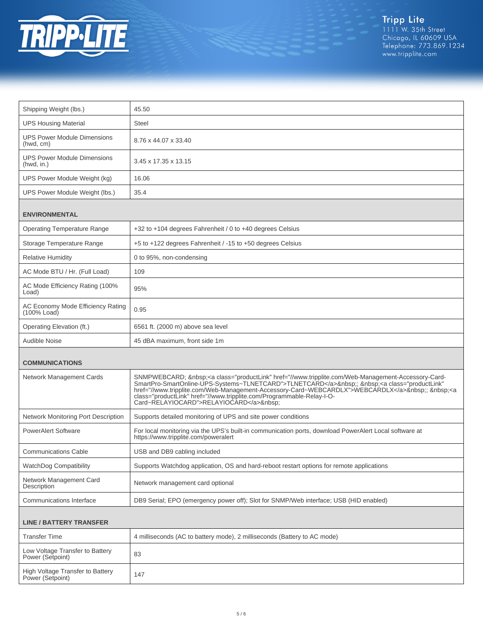

| Shipping Weight (lbs.)                              | 45.50                                                                                                                                                                                                                                                                                                                                                                                                          |  |
|-----------------------------------------------------|----------------------------------------------------------------------------------------------------------------------------------------------------------------------------------------------------------------------------------------------------------------------------------------------------------------------------------------------------------------------------------------------------------------|--|
| <b>UPS Housing Material</b>                         | <b>Steel</b>                                                                                                                                                                                                                                                                                                                                                                                                   |  |
| <b>UPS Power Module Dimensions</b><br>(hwd, cm)     | 8.76 x 44.07 x 33.40                                                                                                                                                                                                                                                                                                                                                                                           |  |
| <b>UPS Power Module Dimensions</b><br>(hwd, in.)    | 3.45 x 17.35 x 13.15                                                                                                                                                                                                                                                                                                                                                                                           |  |
| UPS Power Module Weight (kg)                        | 16.06                                                                                                                                                                                                                                                                                                                                                                                                          |  |
| UPS Power Module Weight (lbs.)                      | 35.4                                                                                                                                                                                                                                                                                                                                                                                                           |  |
| <b>ENVIRONMENTAL</b>                                |                                                                                                                                                                                                                                                                                                                                                                                                                |  |
| <b>Operating Temperature Range</b>                  | +32 to +104 degrees Fahrenheit / 0 to +40 degrees Celsius                                                                                                                                                                                                                                                                                                                                                      |  |
| Storage Temperature Range                           | +5 to +122 degrees Fahrenheit / -15 to +50 degrees Celsius                                                                                                                                                                                                                                                                                                                                                     |  |
| <b>Relative Humidity</b>                            | 0 to 95%, non-condensing                                                                                                                                                                                                                                                                                                                                                                                       |  |
| AC Mode BTU / Hr. (Full Load)                       | 109                                                                                                                                                                                                                                                                                                                                                                                                            |  |
| AC Mode Efficiency Rating (100%<br>Load)            | 95%                                                                                                                                                                                                                                                                                                                                                                                                            |  |
| AC Economy Mode Efficiency Rating<br>$(100\%$ Load) | 0.95                                                                                                                                                                                                                                                                                                                                                                                                           |  |
| Operating Elevation (ft.)                           | 6561 ft. (2000 m) above sea level                                                                                                                                                                                                                                                                                                                                                                              |  |
| Audible Noise                                       | 45 dBA maximum, front side 1m                                                                                                                                                                                                                                                                                                                                                                                  |  |
| <b>COMMUNICATIONS</b>                               |                                                                                                                                                                                                                                                                                                                                                                                                                |  |
|                                                     |                                                                                                                                                                                                                                                                                                                                                                                                                |  |
| Network Management Cards                            | SNMPWEBCARD; <a class="productLink" href="//www.tripplite.com/Web-Management-Accessory-Card-&lt;br&gt;SmartPro-SmartOnline-UPS-Systems~TLNETCARD">TLNETCARD</a> ; <a <br="" class="productLink">href="//www.tripplite.com/Web-Management-Accessory-Card~WEBCARDLX"&gt;WEBCARDLX</a> ; <a<br>class="productLink" href="//www.tripplite.com/Programmable-Relay-I-O-<br/>Card~RELAYIOCARD"&gt;RELAYIOCARD </a<br> |  |
| Network Monitoring Port Description                 | Supports detailed monitoring of UPS and site power conditions                                                                                                                                                                                                                                                                                                                                                  |  |
| <b>PowerAlert Software</b>                          | For local monitoring via the UPS's built-in communication ports, download PowerAlert Local software at<br>https://www.tripplite.com/poweralert                                                                                                                                                                                                                                                                 |  |
| <b>Communications Cable</b>                         | USB and DB9 cabling included                                                                                                                                                                                                                                                                                                                                                                                   |  |
| <b>WatchDog Compatibility</b>                       | Supports Watchdog application, OS and hard-reboot restart options for remote applications                                                                                                                                                                                                                                                                                                                      |  |
| Network Management Card<br>Description              | Network management card optional                                                                                                                                                                                                                                                                                                                                                                               |  |
| <b>Communications Interface</b>                     | DB9 Serial; EPO (emergency power off); Slot for SNMP/Web interface; USB (HID enabled)                                                                                                                                                                                                                                                                                                                          |  |
| <b>LINE / BATTERY TRANSFER</b>                      |                                                                                                                                                                                                                                                                                                                                                                                                                |  |
| <b>Transfer Time</b>                                | 4 milliseconds (AC to battery mode), 2 milliseconds (Battery to AC mode)                                                                                                                                                                                                                                                                                                                                       |  |
| Low Voltage Transfer to Battery<br>Power (Setpoint) | 83                                                                                                                                                                                                                                                                                                                                                                                                             |  |